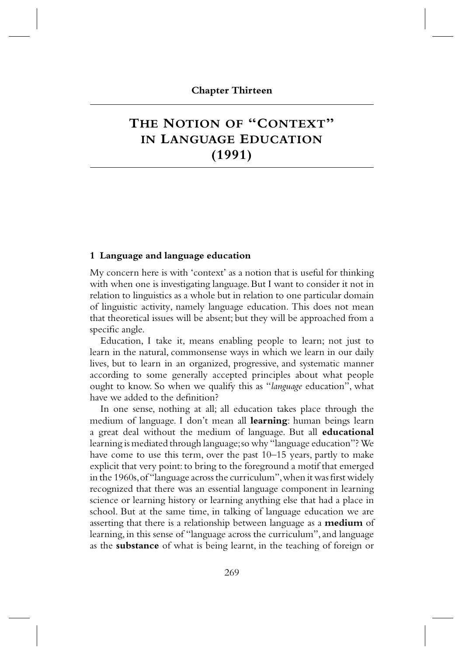# **Chapter Thirteen**

# **THE NOTION OF "CONTEXT" IN LANGUAGE EDUCATION (1991)**

## **1 Language and language education**

My concern here is with 'context' as a notion that is useful for thinking with when one is investigating language. But I want to consider it not in relation to linguistics as a whole but in relation to one particular domain of linguistic activity, namely language education. This does not mean that theoretical issues will be absent; but they will be approached from a specific angle.

Education, I take it, means enabling people to learn; not just to learn in the natural, commonsense ways in which we learn in our daily lives, but to learn in an organized, progressive, and systematic manner according to some generally accepted principles about what people ought to know. So when we qualify this as "*language* education", what have we added to the definition?

In one sense, nothing at all; all education takes place through the medium of language. I don't mean all **learning**: human beings learn a great deal without the medium of language. But all **educational** learning is mediated through language; so why "language education"? We have come to use this term, over the past 10–15 years, partly to make explicit that very point: to bring to the foreground a motif that emerged in the 1960s, of "language across the curriculum", when it was first widely recognized that there was an essential language component in learning science or learning history or learning anything else that had a place in school. But at the same time, in talking of language education we are asserting that there is a relationship between language as a **medium** of learning, in this sense of "language across the curriculum", and language as the **substance** of what is being learnt, in the teaching of foreign or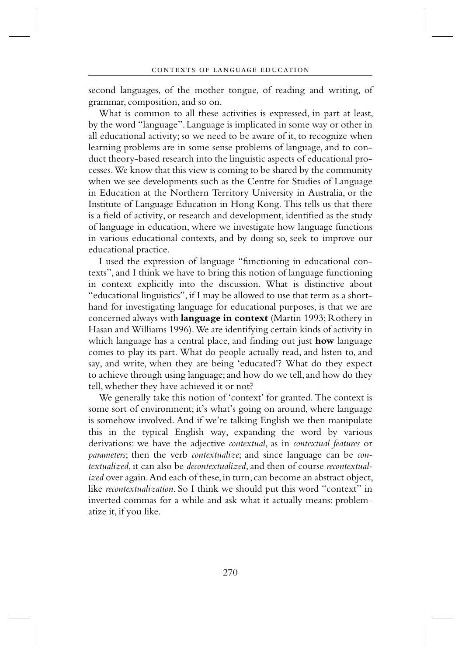second languages, of the mother tongue, of reading and writing, of grammar, composition, and so on.

What is common to all these activities is expressed, in part at least, by the word "language". Language is implicated in some way or other in all educational activity; so we need to be aware of it, to recognize when learning problems are in some sense problems of language, and to conduct theory-based research into the linguistic aspects of educational processes. We know that this view is coming to be shared by the community when we see developments such as the Centre for Studies of Language in Education at the Northern Territory University in Australia, or the Institute of Language Education in Hong Kong. This tells us that there is a field of activity, or research and development, identified as the study of language in education, where we investigate how language functions in various educational contexts, and by doing so, seek to improve our educational practice.

I used the expression of language "functioning in educational contexts", and I think we have to bring this notion of language functioning in context explicitly into the discussion. What is distinctive about "educational linguistics", if I may be allowed to use that term as a shorthand for investigating language for educational purposes, is that we are concerned always with **language in context** (Martin 1993; Rothery in Hasan and Williams 1996). We are identifying certain kinds of activity in which language has a central place, and finding out just **how** language comes to play its part. What do people actually read, and listen to, and say, and write, when they are being 'educated'? What do they expect to achieve through using language; and how do we tell, and how do they tell, whether they have achieved it or not?

We generally take this notion of 'context' for granted. The context is some sort of environment; it's what's going on around, where language is somehow involved. And if we're talking English we then manipulate this in the typical English way, expanding the word by various derivations: we have the adjective *contextual*, as in *contextual features* or *parameters*; then the verb *contextualize*; and since language can be *contextualized*, it can also be *decontextualized*, and then of course *recontextualized* over again. And each of these, in turn, can become an abstract object, like *recontextualization*. So I think we should put this word "context" in inverted commas for a while and ask what it actually means: problematize it, if you like.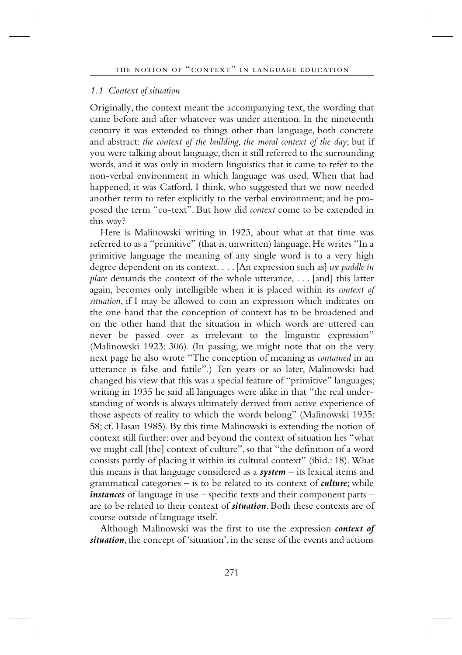#### *1.1 Context of situation*

Originally, the context meant the accompanying text, the wording that came before and after whatever was under attention. In the nineteenth century it was extended to things other than language, both concrete and abstract: *the context of the building, the moral context of the day*; but if you were talking about language, then it still referred to the surrounding words, and it was only in modern linguistics that it came to refer to the non-verbal environment in which language was used. When that had happened, it was Catford, I think, who suggested that we now needed another term to refer explicitly to the verbal environment; and he proposed the term "co-text". But how did *context* come to be extended in this way?

Here is Malinowski writing in 1923, about what at that time was referred to as a "primitive" (that is, unwritten) language. He writes "In a primitive language the meaning of any single word is to a very high degree dependent on its context. . . . [An expression such as] *we paddle in place* demands the context of the whole utterance, . . . [and] this latter again, becomes only intelligible when it is placed within its *context of situation*, if I may be allowed to coin an expression which indicates on the one hand that the conception of context has to be broadened and on the other hand that the situation in which words are uttered can never be passed over as irrelevant to the linguistic expression" (Malinowski 1923: 306). (In passing, we might note that on the very next page he also wrote "The conception of meaning as *contained* in an utterance is false and futile".) Ten years or so later, Malinowski had changed his view that this was a special feature of "primitive" languages; writing in 1935 he said all languages were alike in that "the real understanding of words is always ultimately derived from active experience of those aspects of reality to which the words belong" (Malinowski 1935: 58; cf. Hasan 1985). By this time Malinowski is extending the notion of context still further: over and beyond the context of situation lies "what we might call [the] context of culture", so that "the definition of a word consists partly of placing it within its cultural context" (ibid.: 18). What this means is that language considered as a *system* – its lexical items and grammatical categories – is to be related to its context of *culture*; while *instances* of language in use – specific texts and their component parts – are to be related to their context of *situation*. Both these contexts are of course outside of language itself.

Although Malinowski was the first to use the expression *context of situation*, the concept of 'situation', in the sense of the events and actions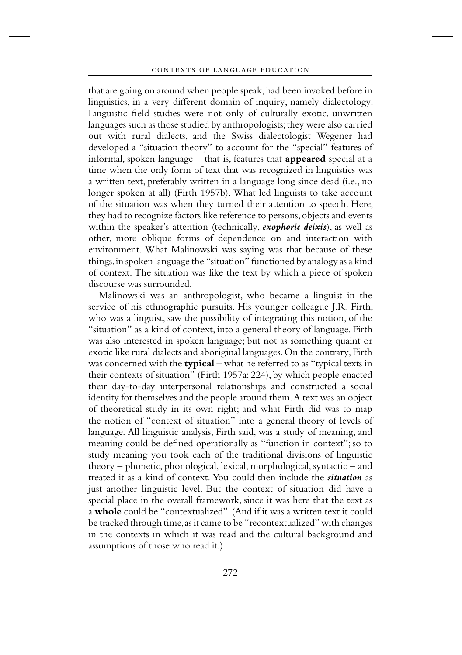#### CONTEXTS OF LANGUAGE EDUCATION

that are going on around when people speak, had been invoked before in linguistics, in a very different domain of inquiry, namely dialectology. Linguistic field studies were not only of culturally exotic, unwritten languages such as those studied by anthropologists; they were also carried out with rural dialects, and the Swiss dialectologist Wegener had developed a "situation theory" to account for the "special" features of informal, spoken language – that is, features that **appeared** special at a time when the only form of text that was recognized in linguistics was a written text, preferably written in a language long since dead (i.e., no longer spoken at all) (Firth 1957b). What led linguists to take account of the situation was when they turned their attention to speech. Here, they had to recognize factors like reference to persons, objects and events within the speaker's attention (technically, *exophoric deixis*), as well as other, more oblique forms of dependence on and interaction with environment. What Malinowski was saying was that because of these things, in spoken language the "situation" functioned by analogy as a kind of context. The situation was like the text by which a piece of spoken discourse was surrounded.

Malinowski was an anthropologist, who became a linguist in the service of his ethnographic pursuits. His younger colleague J.R. Firth, who was a linguist, saw the possibility of integrating this notion, of the "situation" as a kind of context, into a general theory of language. Firth was also interested in spoken language; but not as something quaint or exotic like rural dialects and aboriginal languages. On the contrary, Firth was concerned with the **typical** – what he referred to as "typical texts in their contexts of situation" (Firth 1957a: 224), by which people enacted their day-to-day interpersonal relationships and constructed a social identity for themselves and the people around them. A text was an object of theoretical study in its own right; and what Firth did was to map the notion of "context of situation" into a general theory of levels of language. All linguistic analysis, Firth said, was a study of meaning, and meaning could be defined operationally as "function in context"; so to study meaning you took each of the traditional divisions of linguistic theory – phonetic, phonological, lexical, morphological, syntactic – and treated it as a kind of context. You could then include the *situation* as just another linguistic level. But the context of situation did have a special place in the overall framework, since it was here that the text as a **whole** could be "contextualized". (And if it was a written text it could be tracked through time, as it came to be "recontextualized" with changes in the contexts in which it was read and the cultural background and assumptions of those who read it.)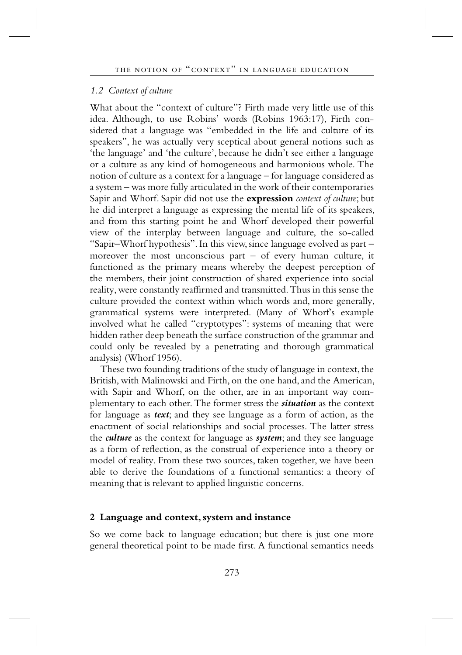## *1.2 Context of culture*

What about the "context of culture"? Firth made very little use of this idea. Although, to use Robins' words (Robins 1963:17), Firth considered that a language was "embedded in the life and culture of its speakers", he was actually very sceptical about general notions such as 'the language' and 'the culture', because he didn't see either a language or a culture as any kind of homogeneous and harmonious whole. The notion of culture as a context for a language – for language considered as a system – was more fully articulated in the work of their contemporaries Sapir and Whorf. Sapir did not use the **expression** *context of culture*; but he did interpret a language as expressing the mental life of its speakers, and from this starting point he and Whorf developed their powerful view of the interplay between language and culture, the so-called "Sapir–Whorf hypothesis". In this view, since language evolved as part – moreover the most unconscious part  $-$  of every human culture, it functioned as the primary means whereby the deepest perception of the members, their joint construction of shared experience into social reality, were constantly reaffirmed and transmitted. Thus in this sense the culture provided the context within which words and, more generally, grammatical systems were interpreted. (Many of Whorf's example involved what he called "cryptotypes": systems of meaning that were hidden rather deep beneath the surface construction of the grammar and could only be revealed by a penetrating and thorough grammatical analysis) (Whorf 1956).

These two founding traditions of the study of language in context, the British, with Malinowski and Firth, on the one hand, and the American, with Sapir and Whorf, on the other, are in an important way complementary to each other. The former stress the *situation* as the context for language as *text*; and they see language as a form of action, as the enactment of social relationships and social processes. The latter stress the *culture* as the context for language as *system*; and they see language as a form of reflection, as the construal of experience into a theory or model of reality. From these two sources, taken together, we have been able to derive the foundations of a functional semantics: a theory of meaning that is relevant to applied linguistic concerns.

## **2 Language and context, system and instance**

So we come back to language education; but there is just one more general theoretical point to be made first. A functional semantics needs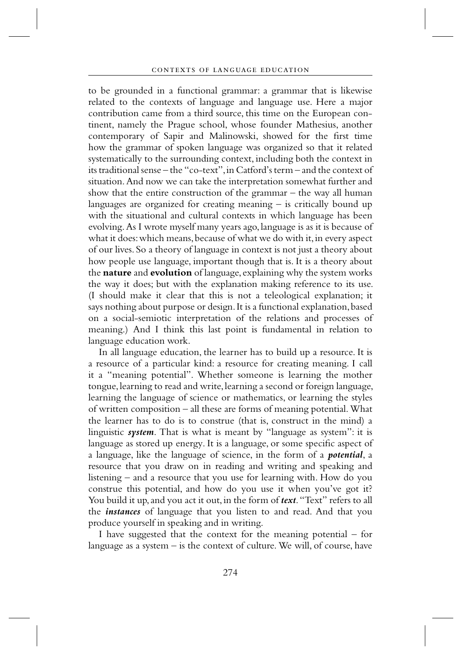## CONTEXTS OF LANGUAGE EDUCATION

to be grounded in a functional grammar: a grammar that is likewise related to the contexts of language and language use. Here a major contribution came from a third source, this time on the European continent, namely the Prague school, whose founder Mathesius, another contemporary of Sapir and Malinowski, showed for the first time how the grammar of spoken language was organized so that it related systematically to the surrounding context, including both the context in its traditional sense – the "co-text", in Catford's term – and the context of situation. And now we can take the interpretation somewhat further and show that the entire construction of the grammar – the way all human languages are organized for creating meaning – is critically bound up with the situational and cultural contexts in which language has been evolving. As I wrote myself many years ago, language is as it is because of what it does: which means, because of what we do with it, in every aspect of our lives. So a theory of language in context is not just a theory about how people use language, important though that is. It is a theory about the **nature** and **evolution** of language, explaining why the system works the way it does; but with the explanation making reference to its use. (I should make it clear that this is not a teleological explanation; it says nothing about purpose or design. It is a functional explanation, based on a social-semiotic interpretation of the relations and processes of meaning.) And I think this last point is fundamental in relation to language education work.

In all language education, the learner has to build up a resource. It is a resource of a particular kind: a resource for creating meaning. I call it a "meaning potential". Whether someone is learning the mother tongue, learning to read and write, learning a second or foreign language, learning the language of science or mathematics, or learning the styles of written composition – all these are forms of meaning potential. What the learner has to do is to construe (that is, construct in the mind) a linguistic *system*. That is what is meant by "language as system": it is language as stored up energy. It is a language, or some specific aspect of a language, like the language of science, in the form of a *potential*, a resource that you draw on in reading and writing and speaking and listening – and a resource that you use for learning with. How do you construe this potential, and how do you use it when you've got it? You build it up, and you act it out, in the form of **text**. "Text" refers to all the *instances* of language that you listen to and read. And that you produce yourself in speaking and in writing.

I have suggested that the context for the meaning potential – for language as a system  $-$  is the context of culture. We will, of course, have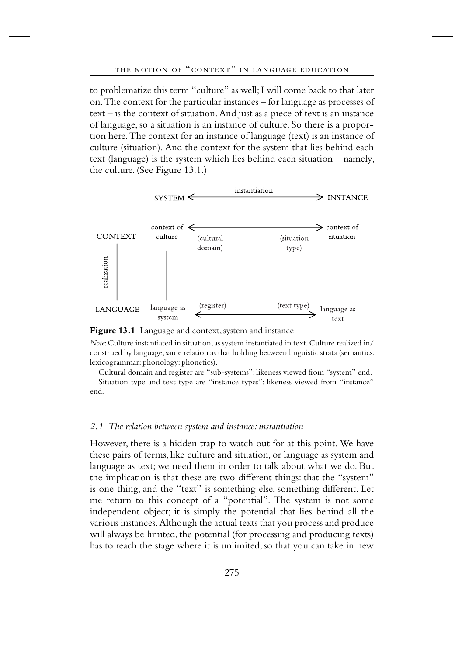to problematize this term "culture" as well; I will come back to that later on. The context for the particular instances – for language as processes of text – is the context of situation. And just as a piece of text is an instance of language, so a situation is an instance of culture. So there is a proportion here. The context for an instance of language (text) is an instance of culture (situation). And the context for the system that lies behind each text (language) is the system which lies behind each situation – namely, the culture. (See Figure 13.1.)



**Figure 13.1** Language and context, system and instance

*Note*: Culture instantiated in situation, as system instantiated in text. Culture realized in/ construed by language; same relation as that holding between linguistic strata (semantics: lexicogrammar: phonology: phonetics).

Cultural domain and register are "sub-systems": likeness viewed from "system" end.

Situation type and text type are "instance types": likeness viewed from "instance" end.

#### *2.1 The relation between system and instance: instantiation*

However, there is a hidden trap to watch out for at this point. We have these pairs of terms, like culture and situation, or language as system and language as text; we need them in order to talk about what we do. But the implication is that these are two different things: that the "system" is one thing, and the "text" is something else, something different. Let me return to this concept of a "potential". The system is not some independent object; it is simply the potential that lies behind all the various instances. Although the actual texts that you process and produce will always be limited, the potential (for processing and producing texts) has to reach the stage where it is unlimited, so that you can take in new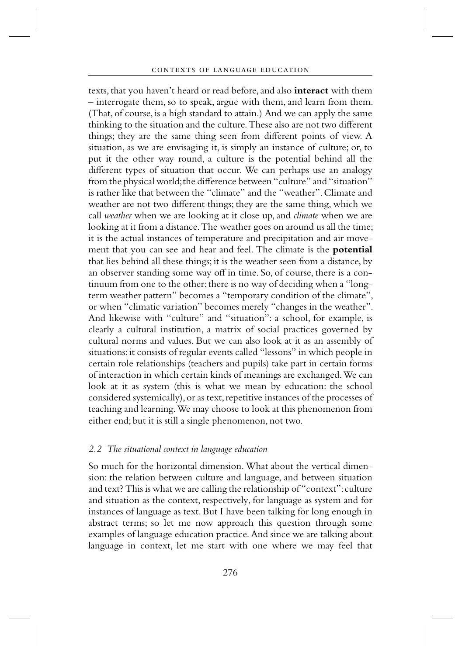#### CONTEXTS OF LANGUAGE EDUCATION

texts, that you haven't heard or read before, and also **interact** with them – interrogate them, so to speak, argue with them, and learn from them. (That, of course, is a high standard to attain.) And we can apply the same thinking to the situation and the culture. These also are not two different things; they are the same thing seen from different points of view. A situation, as we are envisaging it, is simply an instance of culture; or, to put it the other way round, a culture is the potential behind all the different types of situation that occur. We can perhaps use an analogy from the physical world; the difference between "culture" and "situation" is rather like that between the "climate" and the "weather". Climate and weather are not two different things; they are the same thing, which we call *weather* when we are looking at it close up, and *climate* when we are looking at it from a distance. The weather goes on around us all the time; it is the actual instances of temperature and precipitation and air movement that you can see and hear and feel. The climate is the **potential** that lies behind all these things; it is the weather seen from a distance, by an observer standing some way off in time. So, of course, there is a continuum from one to the other; there is no way of deciding when a "longterm weather pattern" becomes a "temporary condition of the climate", or when "climatic variation" becomes merely "changes in the weather". And likewise with "culture" and "situation": a school, for example, is clearly a cultural institution, a matrix of social practices governed by cultural norms and values. But we can also look at it as an assembly of situations: it consists of regular events called "lessons" in which people in certain role relationships (teachers and pupils) take part in certain forms of interaction in which certain kinds of meanings are exchanged. We can look at it as system (this is what we mean by education: the school considered systemically), or as text, repetitive instances of the processes of teaching and learning. We may choose to look at this phenomenon from either end; but it is still a single phenomenon, not two.

## *2.2 The situational context in language education*

So much for the horizontal dimension. What about the vertical dimension: the relation between culture and language, and between situation and text? This is what we are calling the relationship of "context": culture and situation as the context, respectively, for language as system and for instances of language as text. But I have been talking for long enough in abstract terms; so let me now approach this question through some examples of language education practice. And since we are talking about language in context, let me start with one where we may feel that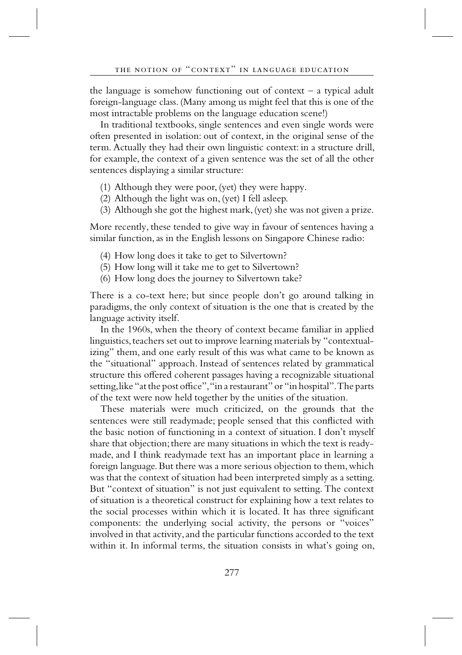the language is somehow functioning out of context  $-$  a typical adult foreign-language class. (Many among us might feel that this is one of the most intractable problems on the language education scene!)

In traditional textbooks, single sentences and even single words were often presented in isolation: out of context, in the original sense of the term. Actually they had their own linguistic context: in a structure drill, for example, the context of a given sentence was the set of all the other sentences displaying a similar structure:

- (1) Although they were poor, (yet) they were happy.
- (2) Although the light was on, (yet) I fell asleep.
- (3) Although she got the highest mark, (yet) she was not given a prize.

More recently, these tended to give way in favour of sentences having a similar function, as in the English lessons on Singapore Chinese radio:

- (4) How long does it take to get to Silvertown?
- (5) How long will it take me to get to Silvertown?
- (6) How long does the journey to Silvertown take?

There is a co-text here; but since people don't go around talking in paradigms, the only context of situation is the one that is created by the language activity itself.

In the 1960s, when the theory of context became familiar in applied linguistics, teachers set out to improve learning materials by "contextualizing" them, and one early result of this was what came to be known as the "situational" approach. Instead of sentences related by grammatical structure this offered coherent passages having a recognizable situational setting, like "at the post office", "in a restaurant" or "in hospital". The parts of the text were now held together by the unities of the situation.

These materials were much criticized, on the grounds that the sentences were still readymade; people sensed that this conflicted with the basic notion of functioning in a context of situation. I don't myself share that objection; there are many situations in which the text is readymade, and I think readymade text has an important place in learning a foreign language. But there was a more serious objection to them, which was that the context of situation had been interpreted simply as a setting. But "context of situation" is not just equivalent to setting. The context of situation is a theoretical construct for explaining how a text relates to the social processes within which it is located. It has three significant components: the underlying social activity, the persons or "voices" involved in that activity, and the particular functions accorded to the text within it. In informal terms, the situation consists in what's going on,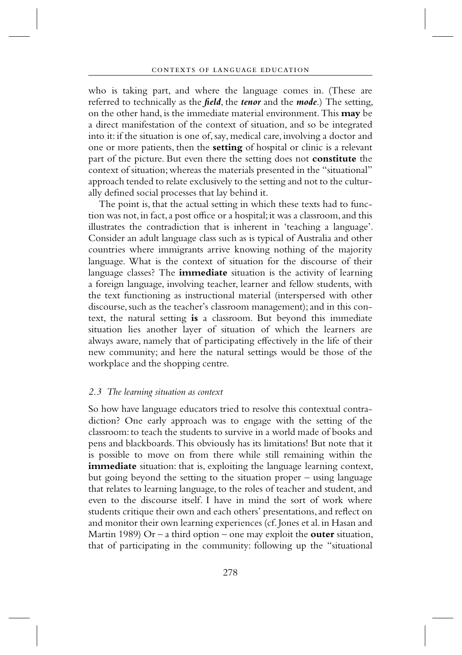who is taking part, and where the language comes in. (These are referred to technically as the *field*, the *tenor* and the *mode*.) The setting, on the other hand, is the immediate material environment. This **may** be a direct manifestation of the context of situation, and so be integrated into it: if the situation is one of, say, medical care, involving a doctor and one or more patients, then the **setting** of hospital or clinic is a relevant part of the picture. But even there the setting does not **constitute** the context of situation; whereas the materials presented in the "situational" approach tended to relate exclusively to the setting and not to the culturally defined social processes that lay behind it.

The point is, that the actual setting in which these texts had to function was not, in fact, a post office or a hospital; it was a classroom, and this illustrates the contradiction that is inherent in 'teaching a language'. Consider an adult language class such as is typical of Australia and other countries where immigrants arrive knowing nothing of the majority language. What is the context of situation for the discourse of their language classes? The **immediate** situation is the activity of learning a foreign language, involving teacher, learner and fellow students, with the text functioning as instructional material (interspersed with other discourse, such as the teacher's classroom management); and in this context, the natural setting **is** a classroom. But beyond this immediate situation lies another layer of situation of which the learners are always aware, namely that of participating effectively in the life of their new community; and here the natural settings would be those of the workplace and the shopping centre.

#### *2.3 The learning situation as context*

So how have language educators tried to resolve this contextual contradiction? One early approach was to engage with the setting of the classroom: to teach the students to survive in a world made of books and pens and blackboards. This obviously has its limitations! But note that it is possible to move on from there while still remaining within the **immediate** situation: that is, exploiting the language learning context, but going beyond the setting to the situation proper – using language that relates to learning language, to the roles of teacher and student, and even to the discourse itself. I have in mind the sort of work where students critique their own and each others' presentations, and reflect on and monitor their own learning experiences (cf. Jones et al. in Hasan and Martin 1989) Or – a third option – one may exploit the **outer** situation, that of participating in the community: following up the "situational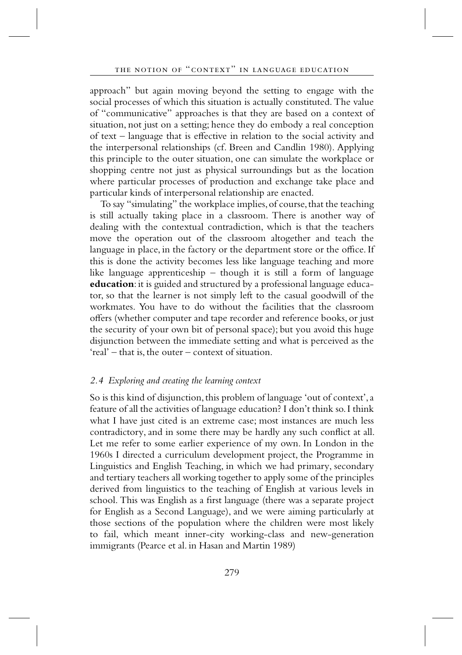approach" but again moving beyond the setting to engage with the social processes of which this situation is actually constituted. The value of "communicative" approaches is that they are based on a context of situation, not just on a setting; hence they do embody a real conception of text – language that is effective in relation to the social activity and the interpersonal relationships (cf. Breen and Candlin 1980). Applying this principle to the outer situation, one can simulate the workplace or shopping centre not just as physical surroundings but as the location where particular processes of production and exchange take place and particular kinds of interpersonal relationship are enacted.

To say "simulating" the workplace implies, of course, that the teaching is still actually taking place in a classroom. There is another way of dealing with the contextual contradiction, which is that the teachers move the operation out of the classroom altogether and teach the language in place, in the factory or the department store or the office. If this is done the activity becomes less like language teaching and more like language apprenticeship – though it is still a form of language **education**: it is guided and structured by a professional language educator, so that the learner is not simply left to the casual goodwill of the workmates. You have to do without the facilities that the classroom offers (whether computer and tape recorder and reference books, or just the security of your own bit of personal space); but you avoid this huge disjunction between the immediate setting and what is perceived as the 'real' – that is, the outer – context of situation.

## *2.4 Exploring and creating the learning context*

So is this kind of disjunction, this problem of language 'out of context', a feature of all the activities of language education? I don't think so. I think what I have just cited is an extreme case; most instances are much less contradictory, and in some there may be hardly any such conflict at all. Let me refer to some earlier experience of my own. In London in the 1960s I directed a curriculum development project, the Programme in Linguistics and English Teaching, in which we had primary, secondary and tertiary teachers all working together to apply some of the principles derived from linguistics to the teaching of English at various levels in school. This was English as a first language (there was a separate project for English as a Second Language), and we were aiming particularly at those sections of the population where the children were most likely to fail, which meant inner-city working-class and new-generation immigrants (Pearce et al. in Hasan and Martin 1989)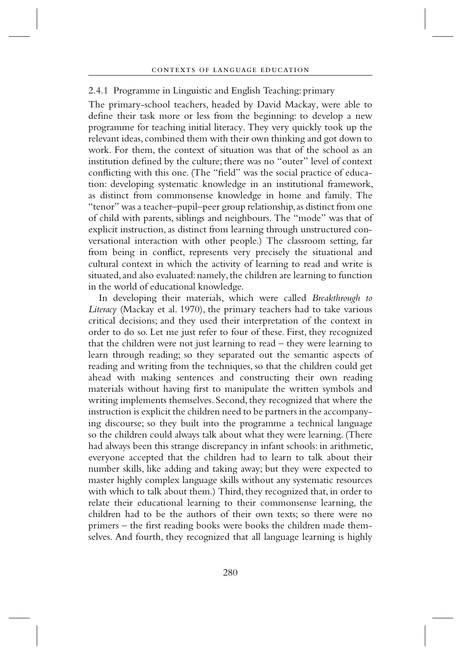#### CONTEXTS OF LANGUAGE EDUCATION

# 2.4.1 Programme in Linguistic and English Teaching: primary

The primary-school teachers, headed by David Mackay, were able to define their task more or less from the beginning: to develop a new programme for teaching initial literacy. They very quickly took up the relevant ideas, combined them with their own thinking and got down to work. For them, the context of situation was that of the school as an institution defined by the culture; there was no "outer" level of context conflicting with this one. (The "field" was the social practice of education: developing systematic knowledge in an institutional framework, as distinct from commonsense knowledge in home and family. The "tenor" was a teacher–pupil–peer group relationship, as distinct from one of child with parents, siblings and neighbours. The "mode" was that of explicit instruction, as distinct from learning through unstructured conversational interaction with other people.) The classroom setting, far from being in conflict, represents very precisely the situational and cultural context in which the activity of learning to read and write is situated, and also evaluated: namely, the children are learning to function in the world of educational knowledge.

In developing their materials, which were called *Breakthrough to Literacy* (Mackay et al. 1970), the primary teachers had to take various critical decisions; and they used their interpretation of the context in order to do so. Let me just refer to four of these. First, they recognized that the children were not just learning to read – they were learning to learn through reading; so they separated out the semantic aspects of reading and writing from the techniques, so that the children could get ahead with making sentences and constructing their own reading materials without having first to manipulate the written symbols and writing implements themselves. Second, they recognized that where the instruction is explicit the children need to be partners in the accompanying discourse; so they built into the programme a technical language so the children could always talk about what they were learning. (There had always been this strange discrepancy in infant schools: in arithmetic, everyone accepted that the children had to learn to talk about their number skills, like adding and taking away; but they were expected to master highly complex language skills without any systematic resources with which to talk about them.) Third, they recognized that, in order to relate their educational learning to their commonsense learning, the children had to be the authors of their own texts; so there were no primers – the first reading books were books the children made themselves. And fourth, they recognized that all language learning is highly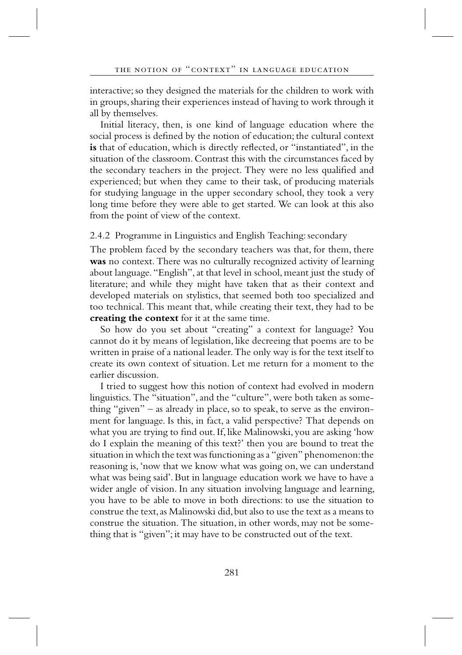interactive; so they designed the materials for the children to work with in groups, sharing their experiences instead of having to work through it all by themselves.

Initial literacy, then, is one kind of language education where the social process is defined by the notion of education; the cultural context **is** that of education, which is directly reflected, or "instantiated", in the situation of the classroom. Contrast this with the circumstances faced by the secondary teachers in the project. They were no less qualified and experienced; but when they came to their task, of producing materials for studying language in the upper secondary school, they took a very long time before they were able to get started. We can look at this also from the point of view of the context.

# 2.4.2 Programme in Linguistics and English Teaching: secondary

The problem faced by the secondary teachers was that, for them, there **was** no context. There was no culturally recognized activity of learning about language. "English", at that level in school, meant just the study of literature; and while they might have taken that as their context and developed materials on stylistics, that seemed both too specialized and too technical. This meant that, while creating their text, they had to be **creating the context** for it at the same time.

So how do you set about "creating" a context for language? You cannot do it by means of legislation, like decreeing that poems are to be written in praise of a national leader. The only way is for the text itself to create its own context of situation. Let me return for a moment to the earlier discussion.

I tried to suggest how this notion of context had evolved in modern linguistics. The "situation", and the "culture", were both taken as something "given" – as already in place, so to speak, to serve as the environment for language. Is this, in fact, a valid perspective? That depends on what you are trying to find out. If, like Malinowski, you are asking 'how do I explain the meaning of this text?' then you are bound to treat the situation in which the text was functioning as a "given" phenomenon: the reasoning is, 'now that we know what was going on, we can understand what was being said'. But in language education work we have to have a wider angle of vision. In any situation involving language and learning, you have to be able to move in both directions: to use the situation to construe the text, as Malinowski did, but also to use the text as a means to construe the situation. The situation, in other words, may not be something that is "given"; it may have to be constructed out of the text.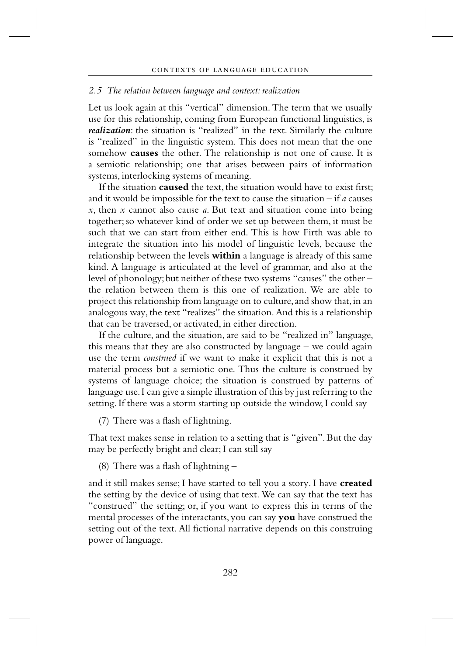#### *2.5 The relation between language and context: realization*

Let us look again at this "vertical" dimension. The term that we usually use for this relationship, coming from European functional linguistics, is *realization*: the situation is "realized" in the text. Similarly the culture is "realized" in the linguistic system. This does not mean that the one somehow **causes** the other. The relationship is not one of cause. It is a semiotic relationship; one that arises between pairs of information systems, interlocking systems of meaning.

If the situation **caused** the text, the situation would have to exist first; and it would be impossible for the text to cause the situation – if *a* causes *x*, then *x* cannot also cause *a*. But text and situation come into being together; so whatever kind of order we set up between them, it must be such that we can start from either end. This is how Firth was able to integrate the situation into his model of linguistic levels, because the relationship between the levels **within** a language is already of this same kind. A language is articulated at the level of grammar, and also at the level of phonology; but neither of these two systems "causes" the other – the relation between them is this one of realization. We are able to project this relationship from language on to culture, and show that, in an analogous way, the text "realizes" the situation. And this is a relationship that can be traversed, or activated, in either direction.

If the culture, and the situation, are said to be "realized in" language, this means that they are also constructed by language – we could again use the term *construed* if we want to make it explicit that this is not a material process but a semiotic one. Thus the culture is construed by systems of language choice; the situation is construed by patterns of language use. I can give a simple illustration of this by just referring to the setting. If there was a storm starting up outside the window, I could say

(7) There was a flash of lightning.

That text makes sense in relation to a setting that is "given". But the day may be perfectly bright and clear; I can still say

(8) There was a flash of lightning –

and it still makes sense; I have started to tell you a story. I have **created** the setting by the device of using that text. We can say that the text has "construed" the setting; or, if you want to express this in terms of the mental processes of the interactants, you can say **you** have construed the setting out of the text. All fictional narrative depends on this construing power of language.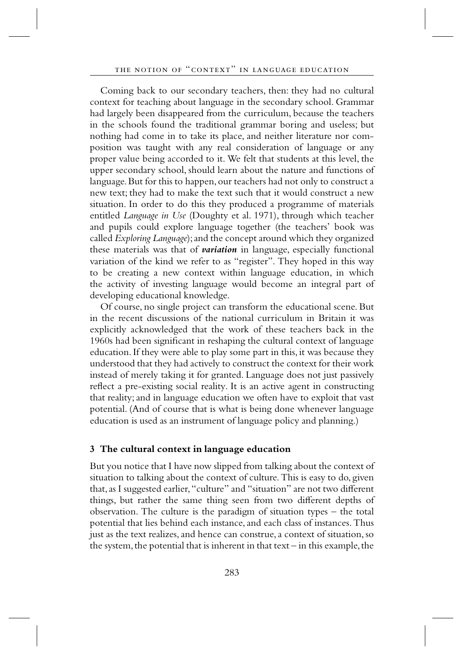Coming back to our secondary teachers, then: they had no cultural context for teaching about language in the secondary school. Grammar had largely been disappeared from the curriculum, because the teachers in the schools found the traditional grammar boring and useless; but nothing had come in to take its place, and neither literature nor composition was taught with any real consideration of language or any proper value being accorded to it. We felt that students at this level, the upper secondary school, should learn about the nature and functions of language. But for this to happen, our teachers had not only to construct a new text; they had to make the text such that it would construct a new situation. In order to do this they produced a programme of materials entitled *Language in Use* (Doughty et al. 1971), through which teacher and pupils could explore language together (the teachers' book was called *Exploring Language*); and the concept around which they organized these materials was that of *variation* in language, especially functional variation of the kind we refer to as "register". They hoped in this way to be creating a new context within language education, in which the activity of investing language would become an integral part of developing educational knowledge.

Of course, no single project can transform the educational scene. But in the recent discussions of the national curriculum in Britain it was explicitly acknowledged that the work of these teachers back in the 1960s had been significant in reshaping the cultural context of language education. If they were able to play some part in this, it was because they understood that they had actively to construct the context for their work instead of merely taking it for granted. Language does not just passively reflect a pre-existing social reality. It is an active agent in constructing that reality; and in language education we often have to exploit that vast potential. (And of course that is what is being done whenever language education is used as an instrument of language policy and planning.)

## **3 The cultural context in language education**

But you notice that I have now slipped from talking about the context of situation to talking about the context of culture. This is easy to do, given that, as I suggested earlier, "culture" and "situation" are not two different things, but rather the same thing seen from two different depths of observation. The culture is the paradigm of situation types – the total potential that lies behind each instance, and each class of instances. Thus just as the text realizes, and hence can construe, a context of situation, so the system, the potential that is inherent in that text  $-$  in this example, the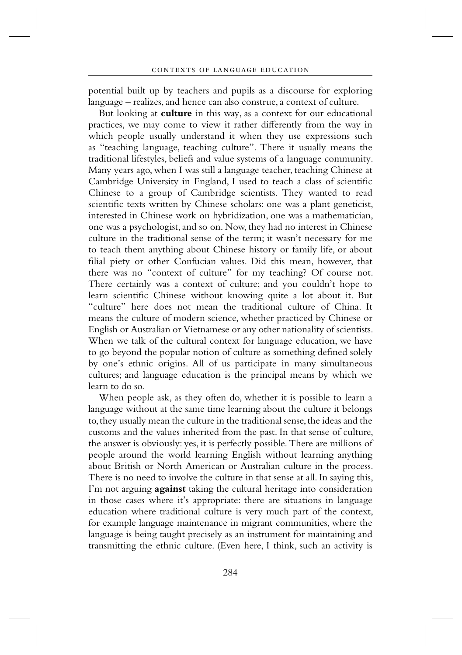potential built up by teachers and pupils as a discourse for exploring language – realizes, and hence can also construe, a context of culture.

But looking at **culture** in this way, as a context for our educational practices, we may come to view it rather differently from the way in which people usually understand it when they use expressions such as "teaching language, teaching culture". There it usually means the traditional lifestyles, beliefs and value systems of a language community. Many years ago, when I was still a language teacher, teaching Chinese at Cambridge University in England, I used to teach a class of scientific Chinese to a group of Cambridge scientists. They wanted to read scientific texts written by Chinese scholars: one was a plant geneticist, interested in Chinese work on hybridization, one was a mathematician, one was a psychologist, and so on. Now, they had no interest in Chinese culture in the traditional sense of the term; it wasn't necessary for me to teach them anything about Chinese history or family life, or about filial piety or other Confucian values. Did this mean, however, that there was no "context of culture" for my teaching? Of course not. There certainly was a context of culture; and you couldn't hope to learn scientific Chinese without knowing quite a lot about it. But "culture" here does not mean the traditional culture of China. It means the culture of modern science, whether practiced by Chinese or English or Australian or Vietnamese or any other nationality of scientists. When we talk of the cultural context for language education, we have to go beyond the popular notion of culture as something defined solely by one's ethnic origins. All of us participate in many simultaneous cultures; and language education is the principal means by which we learn to do so.

When people ask, as they often do, whether it is possible to learn a language without at the same time learning about the culture it belongs to, they usually mean the culture in the traditional sense, the ideas and the customs and the values inherited from the past. In that sense of culture, the answer is obviously: yes, it is perfectly possible. There are millions of people around the world learning English without learning anything about British or North American or Australian culture in the process. There is no need to involve the culture in that sense at all. In saying this, I'm not arguing **against** taking the cultural heritage into consideration in those cases where it's appropriate: there are situations in language education where traditional culture is very much part of the context, for example language maintenance in migrant communities, where the language is being taught precisely as an instrument for maintaining and transmitting the ethnic culture. (Even here, I think, such an activity is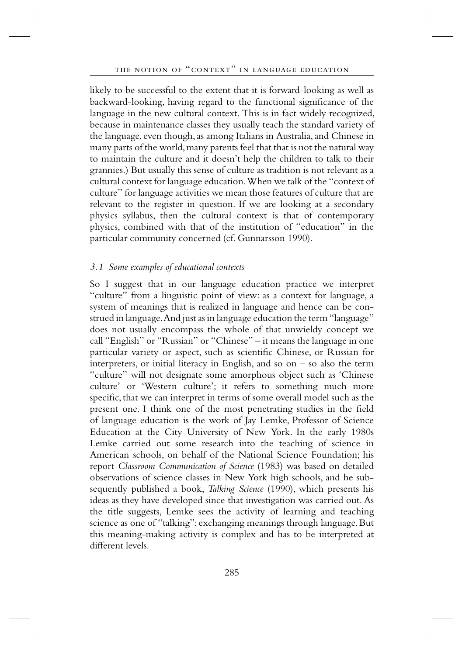likely to be successful to the extent that it is forward-looking as well as backward-looking, having regard to the functional significance of the language in the new cultural context. This is in fact widely recognized, because in maintenance classes they usually teach the standard variety of the language, even though, as among Italians in Australia, and Chinese in many parts of the world, many parents feel that that is not the natural way to maintain the culture and it doesn't help the children to talk to their grannies.) But usually this sense of culture as tradition is not relevant as a cultural context for language education. When we talk of the "context of culture" for language activities we mean those features of culture that are relevant to the register in question. If we are looking at a secondary physics syllabus, then the cultural context is that of contemporary physics, combined with that of the institution of "education" in the particular community concerned (cf. Gunnarsson 1990).

## *3.1 Some examples of educational contexts*

So I suggest that in our language education practice we interpret "culture" from a linguistic point of view: as a context for language, a system of meanings that is realized in language and hence can be construed in language. And just as in language education the term "language" does not usually encompass the whole of that unwieldy concept we call "English" or "Russian" or "Chinese" – it means the language in one particular variety or aspect, such as scientific Chinese, or Russian for interpreters, or initial literacy in English, and so on  $-$  so also the term "culture" will not designate some amorphous object such as 'Chinese culture' or 'Western culture'; it refers to something much more specific, that we can interpret in terms of some overall model such as the present one. I think one of the most penetrating studies in the field of language education is the work of Jay Lemke, Professor of Science Education at the City University of New York. In the early 1980s Lemke carried out some research into the teaching of science in American schools, on behalf of the National Science Foundation; his report *Classroom Communication of Science* (1983) was based on detailed observations of science classes in New York high schools, and he subsequently published a book, *Talking Science* (1990), which presents his ideas as they have developed since that investigation was carried out. As the title suggests, Lemke sees the activity of learning and teaching science as one of "talking": exchanging meanings through language. But this meaning-making activity is complex and has to be interpreted at different levels.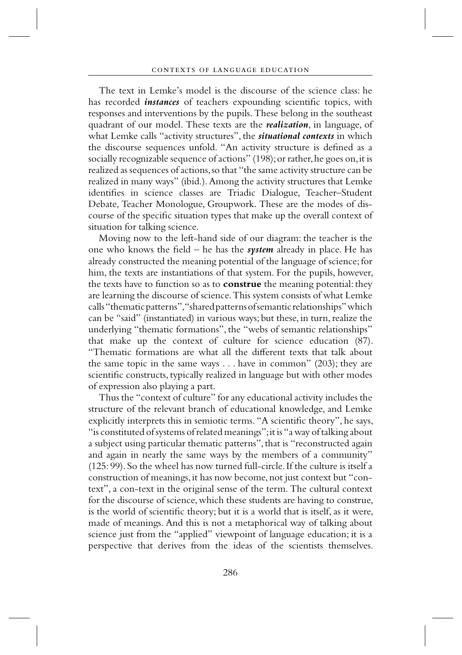The text in Lemke's model is the discourse of the science class: he has recorded *instances* of teachers expounding scientific topics, with responses and interventions by the pupils. These belong in the southeast quadrant of our model. These texts are the *realization*, in language, of what Lemke calls "activity structures", the *situational contexts* in which the discourse sequences unfold. "An activity structure is defined as a socially recognizable sequence of actions" (198); or rather, he goes on, it is realized as sequences of actions, so that "the same activity structure can be realized in many ways" (ibid.). Among the activity structures that Lemke identifies in science classes are Triadic Dialogue, Teacher–Student Debate, Teacher Monologue, Groupwork. These are the modes of discourse of the specific situation types that make up the overall context of situation for talking science.

Moving now to the left-hand side of our diagram: the teacher is the one who knows the field – he has the *system* already in place. He has already constructed the meaning potential of the language of science; for him, the texts are instantiations of that system. For the pupils, however, the texts have to function so as to **construe** the meaning potential: they are learning the discourse of science. This system consists of what Lemke calls "thematic patterns", "shared patterns of semantic relationships" which can be "said" (instantiated) in various ways; but these, in turn, realize the underlying "thematic formations", the "webs of semantic relationships" that make up the context of culture for science education (87). "Thematic formations are what all the different texts that talk about the same topic in the same ways . . . have in common" (203); they are scientific constructs, typically realized in language but with other modes of expression also playing a part.

Thus the "context of culture" for any educational activity includes the structure of the relevant branch of educational knowledge, and Lemke explicitly interprets this in semiotic terms. "A scientific theory", he says, "is constituted of systems of related meanings"; it is "a way of talking about a subject using particular thematic patterns", that is "reconstructed again and again in nearly the same ways by the members of a community" (125: 99). So the wheel has now turned full-circle. If the culture is itself a construction of meanings, it has now become, not just context but "context", a con-text in the original sense of the term. The cultural context for the discourse of science, which these students are having to construe, is the world of scientific theory; but it is a world that is itself, as it were, made of meanings. And this is not a metaphorical way of talking about science just from the "applied" viewpoint of language education; it is a perspective that derives from the ideas of the scientists themselves.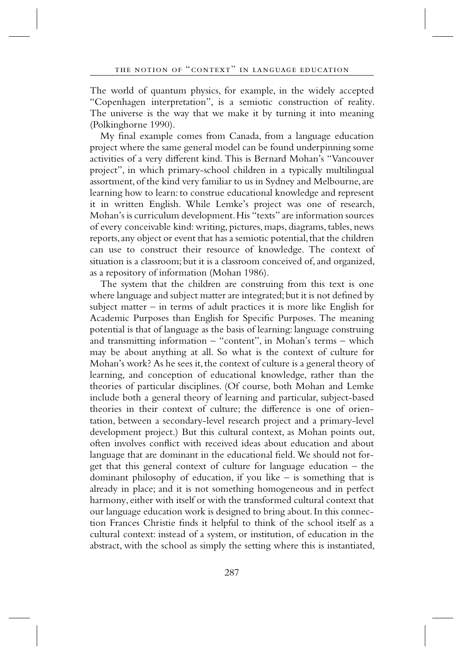The world of quantum physics, for example, in the widely accepted "Copenhagen interpretation", is a semiotic construction of reality. The universe is the way that we make it by turning it into meaning (Polkinghorne 1990).

My final example comes from Canada, from a language education project where the same general model can be found underpinning some activities of a very different kind. This is Bernard Mohan's "Vancouver project", in which primary-school children in a typically multilingual assortment, of the kind very familiar to us in Sydney and Melbourne, are learning how to learn: to construe educational knowledge and represent it in written English. While Lemke's project was one of research, Mohan's is curriculum development. His "texts" are information sources of every conceivable kind: writing, pictures, maps, diagrams, tables, news reports, any object or event that has a semiotic potential, that the children can use to construct their resource of knowledge. The context of situation is a classroom; but it is a classroom conceived of, and organized, as a repository of information (Mohan 1986).

The system that the children are construing from this text is one where language and subject matter are integrated; but it is not defined by subject matter  $-$  in terms of adult practices it is more like English for Academic Purposes than English for Specific Purposes. The meaning potential is that of language as the basis of learning: language construing and transmitting information – "content", in Mohan's terms – which may be about anything at all. So what is the context of culture for Mohan's work? As he sees it, the context of culture is a general theory of learning, and conception of educational knowledge, rather than the theories of particular disciplines. (Of course, both Mohan and Lemke include both a general theory of learning and particular, subject-based theories in their context of culture; the difference is one of orientation, between a secondary-level research project and a primary-level development project.) But this cultural context, as Mohan points out, often involves conflict with received ideas about education and about language that are dominant in the educational field. We should not forget that this general context of culture for language education – the dominant philosophy of education, if you like – is something that is already in place; and it is not something homogeneous and in perfect harmony, either with itself or with the transformed cultural context that our language education work is designed to bring about. In this connection Frances Christie finds it helpful to think of the school itself as a cultural context: instead of a system, or institution, of education in the abstract, with the school as simply the setting where this is instantiated,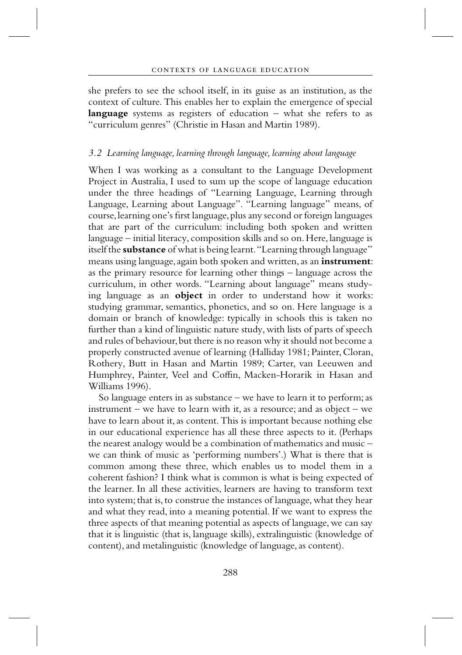she prefers to see the school itself, in its guise as an institution, as the context of culture. This enables her to explain the emergence of special **language** systems as registers of education – what she refers to as "curriculum genres" (Christie in Hasan and Martin 1989).

# *3.2 Learning language, learning through language, learning about language*

When I was working as a consultant to the Language Development Project in Australia, I used to sum up the scope of language education under the three headings of "Learning Language, Learning through Language, Learning about Language". "Learning language" means, of course, learning one's first language, plus any second or foreign languages that are part of the curriculum: including both spoken and written language – initial literacy, composition skills and so on. Here, language is itself the **substance** of what is being learnt. "Learning through language" means using language, again both spoken and written, as an **instrument**: as the primary resource for learning other things – language across the curriculum, in other words. "Learning about language" means studying language as an **object** in order to understand how it works: studying grammar, semantics, phonetics, and so on. Here language is a domain or branch of knowledge: typically in schools this is taken no further than a kind of linguistic nature study, with lists of parts of speech and rules of behaviour, but there is no reason why it should not become a properly constructed avenue of learning (Halliday 1981; Painter, Cloran, Rothery, Butt in Hasan and Martin 1989; Carter, van Leeuwen and Humphrey, Painter, Veel and Coffin, Macken-Horarik in Hasan and Williams 1996).

So language enters in as substance – we have to learn it to perform; as instrument – we have to learn with it, as a resource; and as object – we have to learn about it, as content. This is important because nothing else in our educational experience has all these three aspects to it. (Perhaps the nearest analogy would be a combination of mathematics and music – we can think of music as 'performing numbers'.) What is there that is common among these three, which enables us to model them in a coherent fashion? I think what is common is what is being expected of the learner. In all these activities, learners are having to transform text into system; that is, to construe the instances of language, what they hear and what they read, into a meaning potential. If we want to express the three aspects of that meaning potential as aspects of language, we can say that it is linguistic (that is, language skills), extralinguistic (knowledge of content), and metalinguistic (knowledge of language, as content).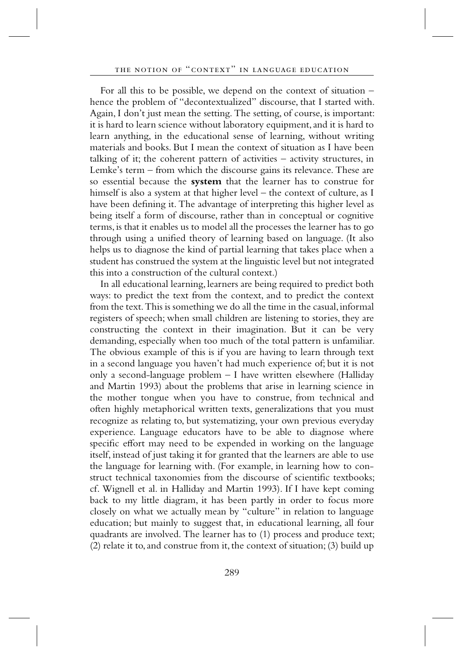For all this to be possible, we depend on the context of situation – hence the problem of "decontextualized" discourse, that I started with. Again, I don't just mean the setting. The setting, of course, is important: it is hard to learn science without laboratory equipment, and it is hard to learn anything, in the educational sense of learning, without writing materials and books. But I mean the context of situation as I have been talking of it; the coherent pattern of activities – activity structures, in Lemke's term – from which the discourse gains its relevance. These are so essential because the **system** that the learner has to construe for himself is also a system at that higher level – the context of culture, as I have been defining it. The advantage of interpreting this higher level as being itself a form of discourse, rather than in conceptual or cognitive terms, is that it enables us to model all the processes the learner has to go through using a unified theory of learning based on language. (It also helps us to diagnose the kind of partial learning that takes place when a student has construed the system at the linguistic level but not integrated this into a construction of the cultural context.)

In all educational learning, learners are being required to predict both ways: to predict the text from the context, and to predict the context from the text. This is something we do all the time in the casual, informal registers of speech; when small children are listening to stories, they are constructing the context in their imagination. But it can be very demanding, especially when too much of the total pattern is unfamiliar. The obvious example of this is if you are having to learn through text in a second language you haven't had much experience of; but it is not only a second-language problem – I have written elsewhere (Halliday and Martin 1993) about the problems that arise in learning science in the mother tongue when you have to construe, from technical and often highly metaphorical written texts, generalizations that you must recognize as relating to, but systematizing, your own previous everyday experience. Language educators have to be able to diagnose where specific effort may need to be expended in working on the language itself, instead of just taking it for granted that the learners are able to use the language for learning with. (For example, in learning how to construct technical taxonomies from the discourse of scientific textbooks; cf. Wignell et al. in Halliday and Martin 1993). If I have kept coming back to my little diagram, it has been partly in order to focus more closely on what we actually mean by "culture" in relation to language education; but mainly to suggest that, in educational learning, all four quadrants are involved. The learner has to (1) process and produce text; (2) relate it to, and construe from it, the context of situation; (3) build up